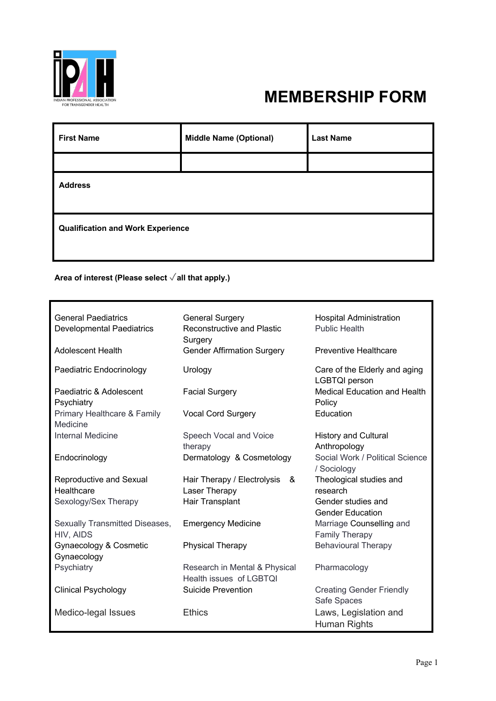

## **MEMBERSHIP FORM**

| <b>First Name</b>                        | <b>Middle Name (Optional)</b> | <b>Last Name</b> |  |  |
|------------------------------------------|-------------------------------|------------------|--|--|
|                                          |                               |                  |  |  |
| <b>Address</b>                           |                               |                  |  |  |
| <b>Qualification and Work Experience</b> |                               |                  |  |  |

## **Area of interest (Please select** ✓**all that apply.)**

| <b>General Paediatrics</b><br><b>Developmental Paediatrics</b> | <b>General Surgery</b><br><b>Reconstructive and Plastic</b><br>Surgery | <b>Hospital Administration</b><br><b>Public Health</b> |
|----------------------------------------------------------------|------------------------------------------------------------------------|--------------------------------------------------------|
| Adolescent Health                                              | <b>Gender Affirmation Surgery</b>                                      | <b>Preventive Healthcare</b>                           |
| Paediatric Endocrinology                                       | Urology                                                                | Care of the Elderly and aging<br><b>LGBTQI</b> person  |
| Paediatric & Adolescent<br>Psychiatry                          | <b>Facial Surgery</b>                                                  | Medical Education and Health<br>Policy                 |
| Primary Healthcare & Family<br>Medicine                        | <b>Vocal Cord Surgery</b>                                              | Education                                              |
| <b>Internal Medicine</b>                                       | Speech Vocal and Voice<br>therapy                                      | <b>History and Cultural</b><br>Anthropology            |
| Endocrinology                                                  | Dermatology & Cosmetology                                              | Social Work / Political Science<br>/ Sociology         |
| Reproductive and Sexual<br>Healthcare                          | Hair Therapy / Electrolysis<br>&<br>Laser Therapy                      | Theological studies and<br>research                    |
| Sexology/Sex Therapy                                           | Hair Transplant                                                        | Gender studies and<br><b>Gender Education</b>          |
| Sexually Transmitted Diseases,<br>HIV, AIDS                    | <b>Emergency Medicine</b>                                              | Marriage Counselling and<br><b>Family Therapy</b>      |
| Gynaecology & Cosmetic<br>Gynaecology                          | <b>Physical Therapy</b>                                                | <b>Behavioural Therapy</b>                             |
| Psychiatry                                                     | Research in Mental & Physical<br>Health issues of LGBTQI               | Pharmacology                                           |
| <b>Clinical Psychology</b>                                     | <b>Suicide Prevention</b>                                              | <b>Creating Gender Friendly</b><br>Safe Spaces         |
| Medico-legal Issues                                            | <b>Ethics</b>                                                          | Laws, Legislation and<br>Human Rights                  |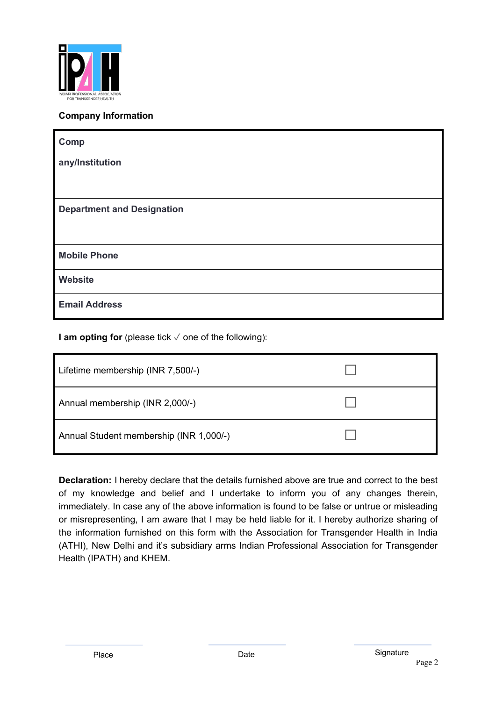

## **Company Information**

| Comp                              |
|-----------------------------------|
| any/Institution                   |
|                                   |
| <b>Department and Designation</b> |
|                                   |
| <b>Mobile Phone</b>               |
| Website                           |
| <b>Email Address</b>              |

**I am opting for** (please tick √ one of the following):

| Lifetime membership (INR 7,500/-)       |  |
|-----------------------------------------|--|
| Annual membership (INR 2,000/-)         |  |
| Annual Student membership (INR 1,000/-) |  |

**Declaration:** I hereby declare that the details furnished above are true and correct to the best of my knowledge and belief and I undertake to inform you of any changes therein, immediately. In case any of the above information is found to be false or untrue or misleading or misrepresenting, I am aware that I may be held liable for it. I hereby authorize sharing of the information furnished on this form with the Association for Transgender Health in India (ATHI), New Delhi and it's subsidiary arms Indian Professional Association for Transgender Health (IPATH) and KHEM.